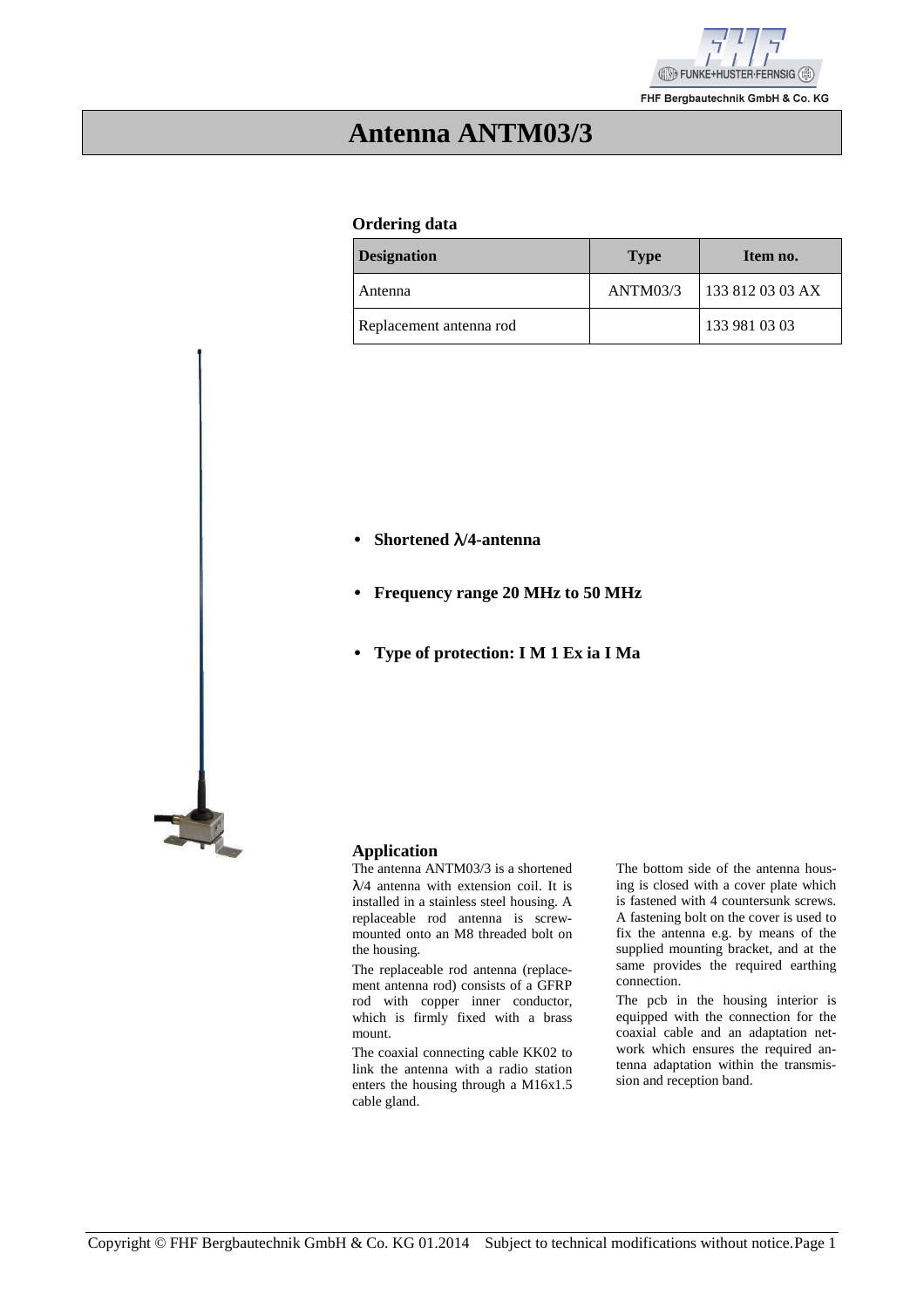

**Antenna ANTM03/3** 

#### **Ordering data**

| <b>Designation</b>      | <b>Type</b> | Item no.         |
|-------------------------|-------------|------------------|
| Antenna                 | ANTM03/3    | 133 812 03 03 AX |
| Replacement antenna rod |             | 133 981 03 03    |

• **Shortened** λ**/4-antenna**

- • **Frequency range 20 MHz to 50 MHz**
- • **Type of protection: I M 1 Ex ia I Ma**



#### **Application**

The antenna ANTM03/3 is a shortened  $\lambda$ /4 antenna with extension coil. It is installed in a stainless steel housing. A replaceable rod antenna is screwmounted onto an M8 threaded bolt on the housing.

The replaceable rod antenna (replacement antenna rod) consists of a GFRP rod with copper inner conductor, which is firmly fixed with a brass mount.

The coaxial connecting cable KK02 to link the antenna with a radio station enters the housing through a M16x1.5 cable gland.

The bottom side of the antenna housing is closed with a cover plate which is fastened with 4 countersunk screws. A fastening bolt on the cover is used to fix the antenna e.g. by means of the supplied mounting bracket, and at the same provides the required earthing connection.

The pcb in the housing interior is equipped with the connection for the coaxial cable and an adaptation network which ensures the required antenna adaptation within the transmission and reception band.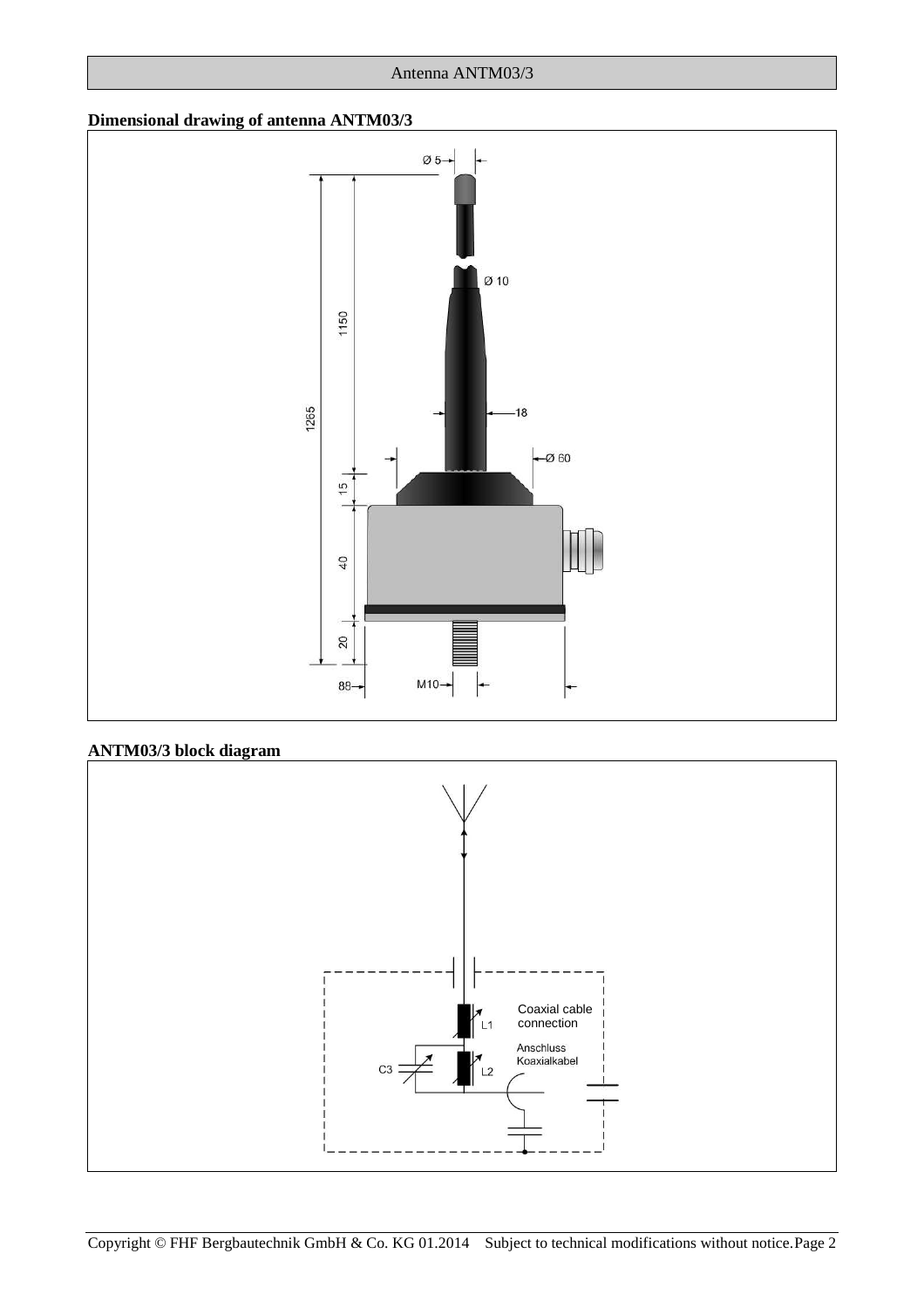#### Antenna ANTM03/3

## **Dimensional drawing of antenna ANTM03/3**



## **ANTM03/3 block diagram**

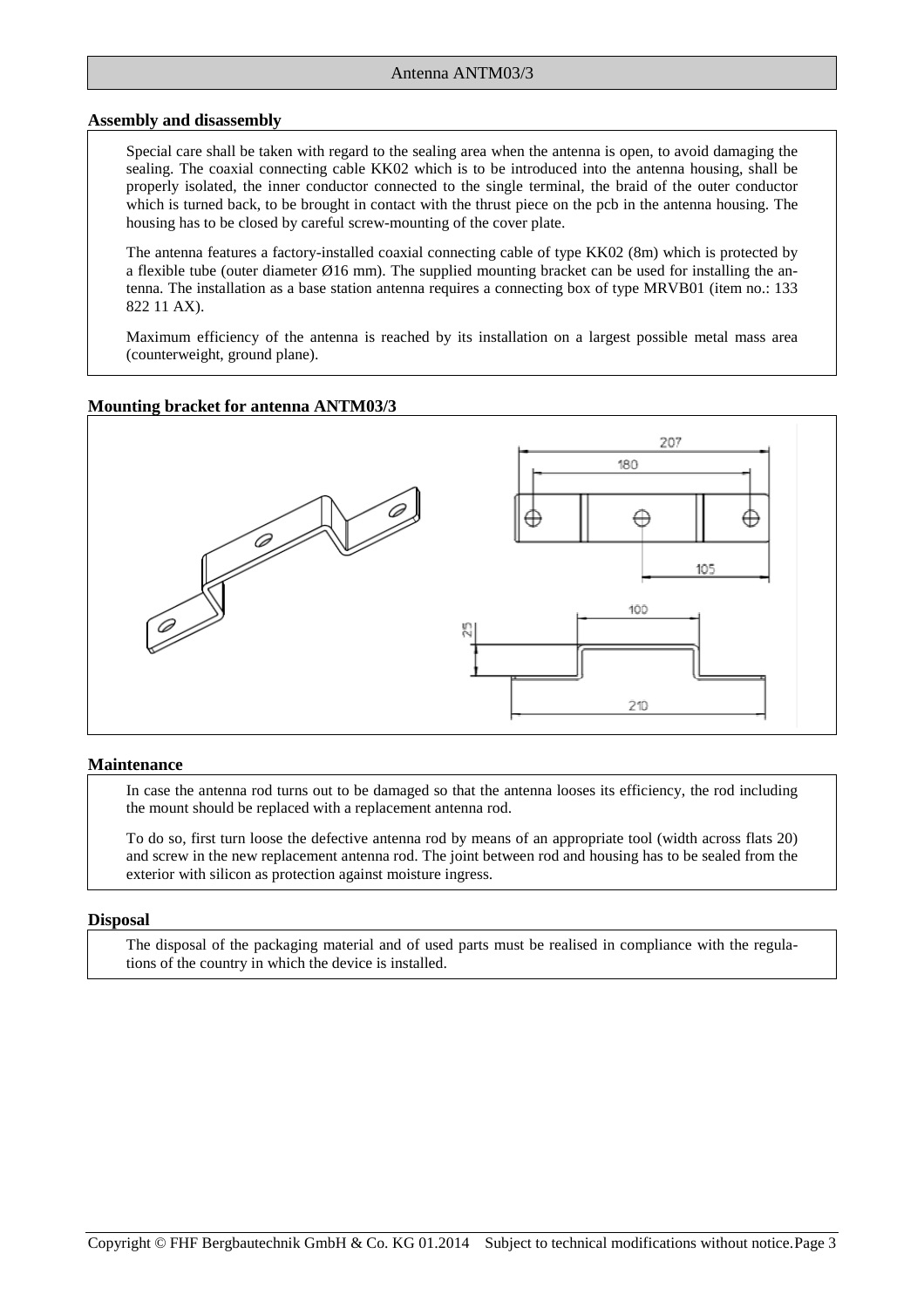#### **Assembly and disassembly**

Special care shall be taken with regard to the sealing area when the antenna is open, to avoid damaging the sealing. The coaxial connecting cable KK02 which is to be introduced into the antenna housing, shall be properly isolated, the inner conductor connected to the single terminal, the braid of the outer conductor which is turned back, to be brought in contact with the thrust piece on the pcb in the antenna housing. The housing has to be closed by careful screw-mounting of the cover plate.

The antenna features a factory-installed coaxial connecting cable of type KK02 (8m) which is protected by a flexible tube (outer diameter  $\varnothing$ 16 mm). The supplied mounting bracket can be used for installing the antenna. The installation as a base station antenna requires a connecting box of type MRVB01 (item no.: 133 822 11 AX).

Maximum efficiency of the antenna is reached by its installation on a largest possible metal mass area (counterweight, ground plane).

#### **Mounting bracket for antenna ANTM03/3**



#### **Maintenance**

In case the antenna rod turns out to be damaged so that the antenna looses its efficiency, the rod including the mount should be replaced with a replacement antenna rod.

To do so, first turn loose the defective antenna rod by means of an appropriate tool (width across flats 20) and screw in the new replacement antenna rod. The joint between rod and housing has to be sealed from the exterior with silicon as protection against moisture ingress.

#### **Disposal**

The disposal of the packaging material and of used parts must be realised in compliance with the regulations of the country in which the device is installed.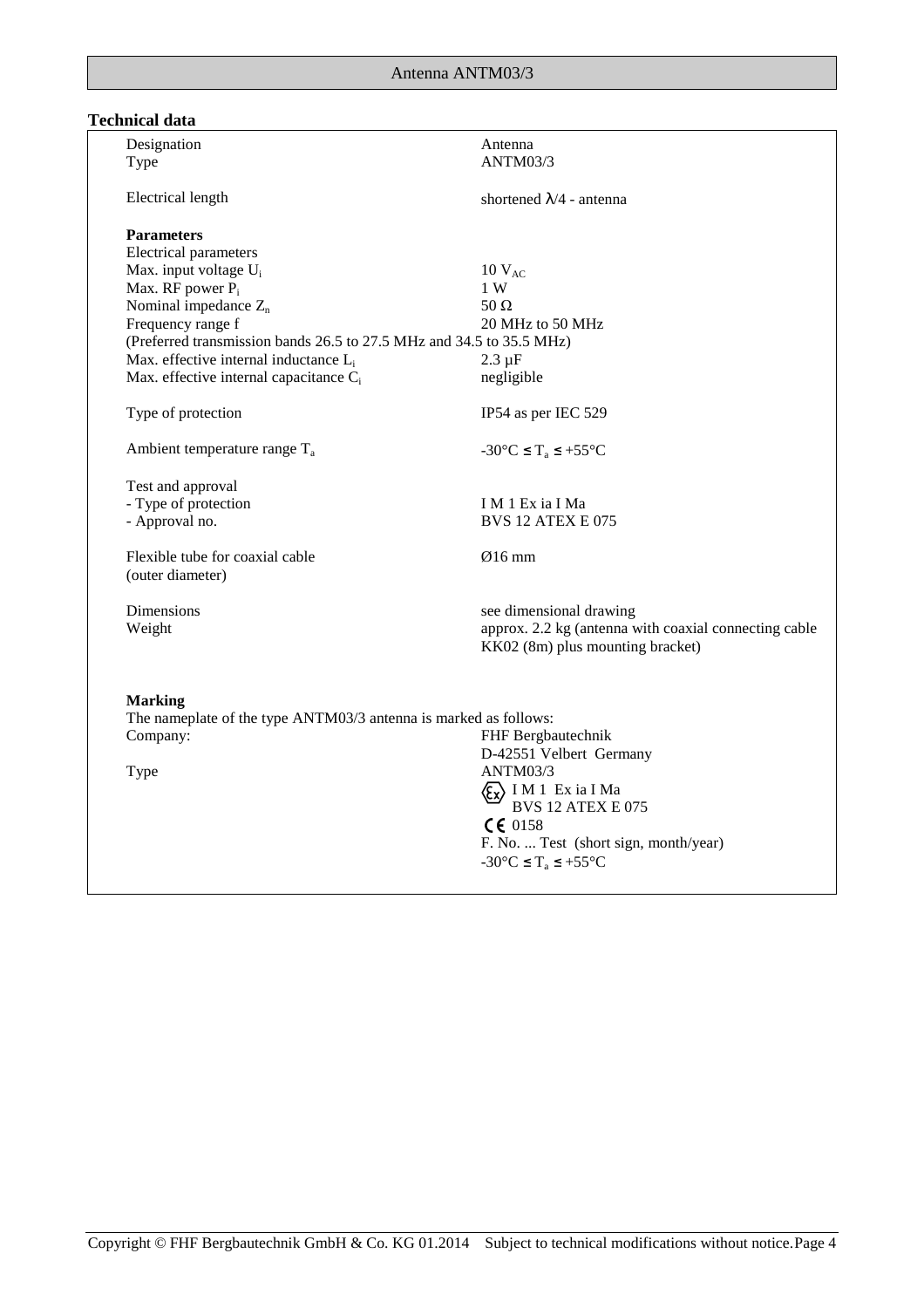# **Technical data**

| Designation                                                          | Antenna                                               |
|----------------------------------------------------------------------|-------------------------------------------------------|
| Type                                                                 | ANTM03/3                                              |
| Electrical length                                                    | shortened $\lambda/4$ - antenna                       |
| <b>Parameters</b>                                                    |                                                       |
| Electrical parameters                                                |                                                       |
| Max. input voltage U <sub>i</sub><br>Max. RF power P <sub>i</sub>    | $10 V_{AC}$<br>1 W                                    |
| Nominal impedance $Z_n$                                              | 50 $\Omega$                                           |
| Frequency range f                                                    | 20 MHz to 50 MHz                                      |
| (Preferred transmission bands 26.5 to 27.5 MHz and 34.5 to 35.5 MHz) |                                                       |
| Max. effective internal inductance L <sub>i</sub>                    | $2.3 \mu F$                                           |
| Max. effective internal capacitance C <sub>i</sub>                   | negligible                                            |
|                                                                      |                                                       |
| Type of protection                                                   | IP54 as per IEC 529                                   |
| Ambient temperature range $T_a$                                      | $-30^{\circ}$ C $\leq T_a \leq +55^{\circ}$ C         |
| Test and approval                                                    |                                                       |
| - Type of protection                                                 | I M 1 Ex ia I Ma                                      |
| - Approval no.                                                       | <b>BVS 12 ATEX E 075</b>                              |
| Flexible tube for coaxial cable                                      | $Ø16$ mm                                              |
| (outer diameter)                                                     |                                                       |
| Dimensions                                                           | see dimensional drawing                               |
| Weight                                                               | approx. 2.2 kg (antenna with coaxial connecting cable |
|                                                                      | KK02 (8m) plus mounting bracket)                      |
|                                                                      |                                                       |
| <b>Marking</b>                                                       |                                                       |
| The nameplate of the type ANTM03/3 antenna is marked as follows:     |                                                       |
| Company:                                                             | FHF Bergbautechnik                                    |
|                                                                      | D-42551 Velbert Germany<br>ANTM03/3                   |
| Type                                                                 |                                                       |
|                                                                      | Ex I M 1 Ex ia I Ma<br>BVS 12 ATEX E 075              |
|                                                                      | CE 0158                                               |
|                                                                      | F. No.  Test (short sign, month/year)                 |
|                                                                      | $-30^{\circ}$ C $\leq T_a \leq +55^{\circ}$ C         |
|                                                                      |                                                       |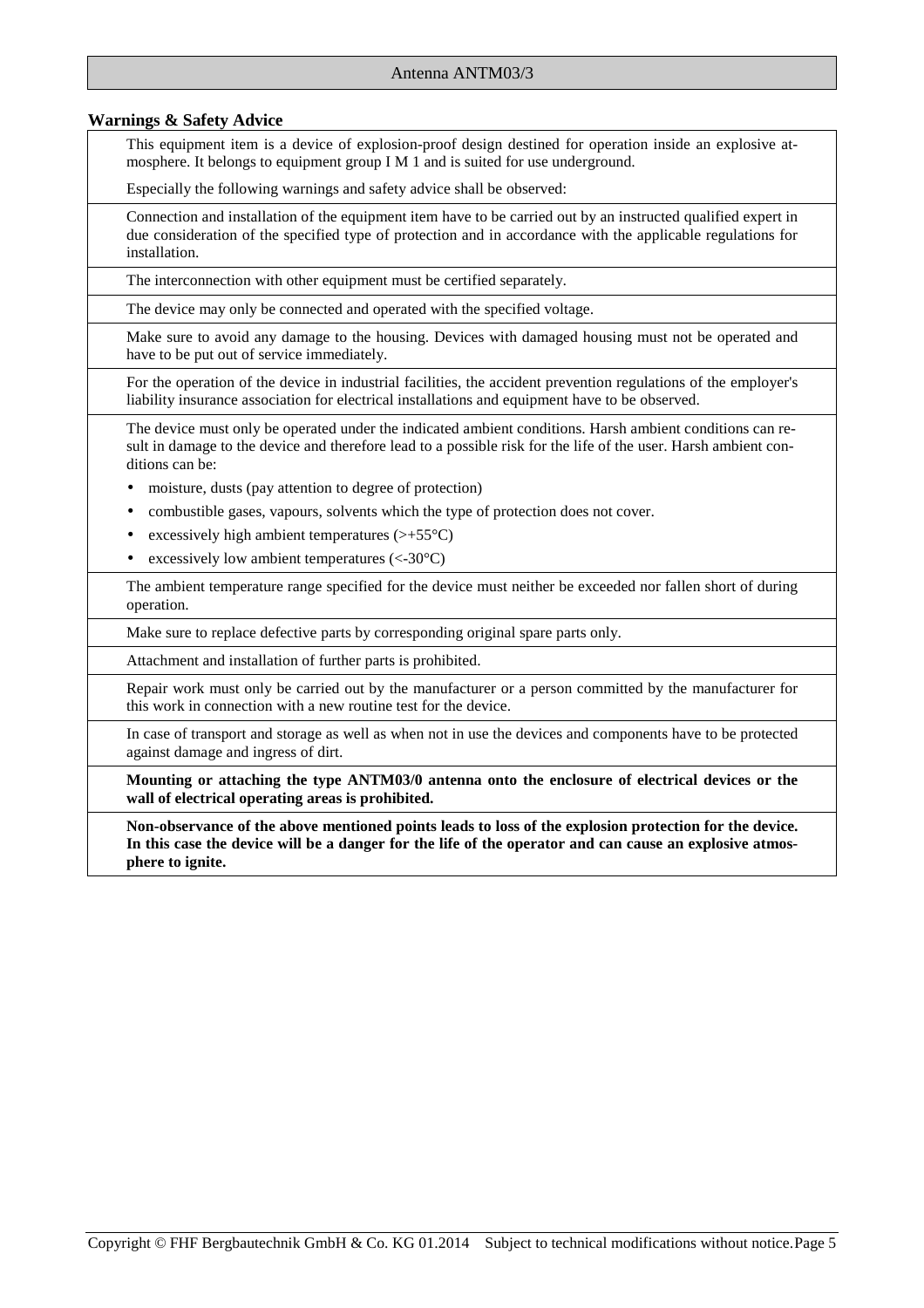#### **Warnings & Safety Advice**

This equipment item is a device of explosion-proof design destined for operation inside an explosive atmosphere. It belongs to equipment group I M 1 and is suited for use underground.

Especially the following warnings and safety advice shall be observed:

Connection and installation of the equipment item have to be carried out by an instructed qualified expert in due consideration of the specified type of protection and in accordance with the applicable regulations for installation.

The interconnection with other equipment must be certified separately.

The device may only be connected and operated with the specified voltage.

Make sure to avoid any damage to the housing. Devices with damaged housing must not be operated and have to be put out of service immediately.

For the operation of the device in industrial facilities, the accident prevention regulations of the employer's liability insurance association for electrical installations and equipment have to be observed.

The device must only be operated under the indicated ambient conditions. Harsh ambient conditions can result in damage to the device and therefore lead to a possible risk for the life of the user. Harsh ambient conditions can be:

- moisture, dusts (pay attention to degree of protection)
- combustible gases, vapours, solvents which the type of protection does not cover.
- excessively high ambient temperatures  $(\geq +55^{\circ}C)$
- excessively low ambient temperatures  $(< -30^{\circ}C)$

The ambient temperature range specified for the device must neither be exceeded nor fallen short of during operation.

Make sure to replace defective parts by corresponding original spare parts only.

Attachment and installation of further parts is prohibited.

Repair work must only be carried out by the manufacturer or a person committed by the manufacturer for this work in connection with a new routine test for the device.

In case of transport and storage as well as when not in use the devices and components have to be protected against damage and ingress of dirt.

**Mounting or attaching the type ANTM03/0 antenna onto the enclosure of electrical devices or the wall of electrical operating areas is prohibited.** 

**Non-observance of the above mentioned points leads to loss of the explosion protection for the device. In this case the device will be a danger for the life of the operator and can cause an explosive atmosphere to ignite.**